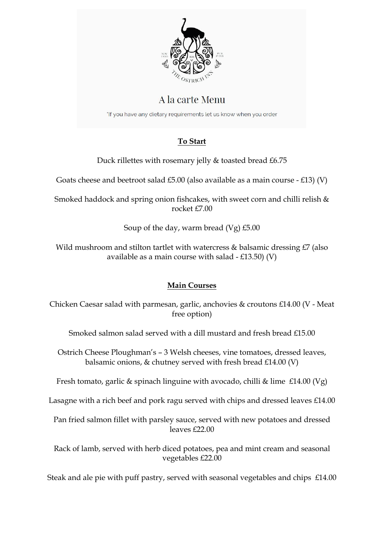

# A la carte Menu

'If you have any dietary requirements let us know when you order

# **To Start**

Duck rillettes with rosemary jelly & toasted bread £6.75

Goats cheese and beetroot salad £5.00 (also available as a main course - £13) (V)

Smoked haddock and spring onion fishcakes, with sweet corn and chilli relish & rocket £7.00

Soup of the day, warm bread (Vg) £5.00

Wild mushroom and stilton tartlet with watercress & balsamic dressing £7 (also available as a main course with salad  $-£13.50)$  (V)

# **Main Courses**

Chicken Caesar salad with parmesan, garlic, anchovies & croutons £14.00 (V - Meat free option)

Smoked salmon salad served with a dill mustard and fresh bread  $f15.00$ 

Ostrich Cheese Ploughman's – 3 Welsh cheeses, vine tomatoes, dressed leaves, balsamic onions,  $\&$  chutney served with fresh bread £14.00 (V)

Fresh tomato, garlic & spinach linguine with avocado, chilli & lime £14.00 (Vg)

Lasagne with a rich beef and pork ragu served with chips and dressed leaves £14.00

Pan fried salmon fillet with parsley sauce, served with new potatoes and dressed leaves £22.00

Rack of lamb, served with herb diced potatoes, pea and mint cream and seasonal vegetables £22.00

Steak and ale pie with puff pastry, served with seasonal vegetables and chips £14.00